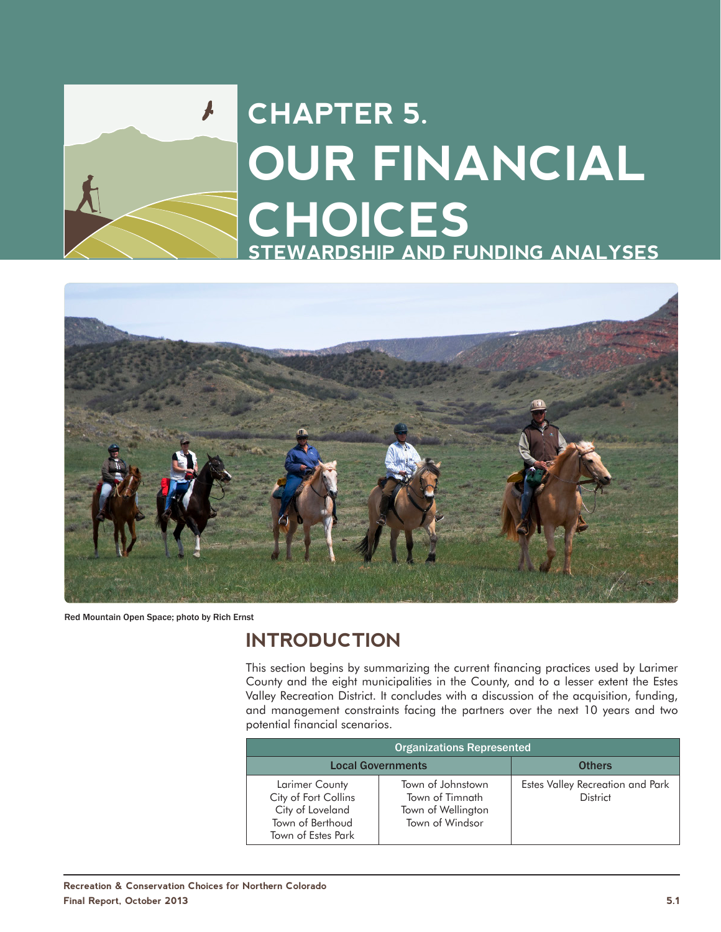



Red Mountain Open Space; photo by Rich Ernst

# **INTRODUCTION**

This section begins by summarizing the current financing practices used by Larimer County and the eight municipalities in the County, and to a lesser extent the Estes Valley Recreation District. It concludes with a discussion of the acquisition, funding, and management constraints facing the partners over the next 10 years and two potential financial scenarios.

| <b>Organizations Represented</b>                                                                     |                                                                               |                                                     |  |
|------------------------------------------------------------------------------------------------------|-------------------------------------------------------------------------------|-----------------------------------------------------|--|
| <b>Local Governments</b>                                                                             | <b>Others</b>                                                                 |                                                     |  |
| Larimer County<br>City of Fort Collins<br>City of Loveland<br>Town of Berthoud<br>Town of Estes Park | Town of Johnstown<br>Town of Timnath<br>Town of Wellington<br>Town of Windsor | Estes Valley Recreation and Park<br><b>District</b> |  |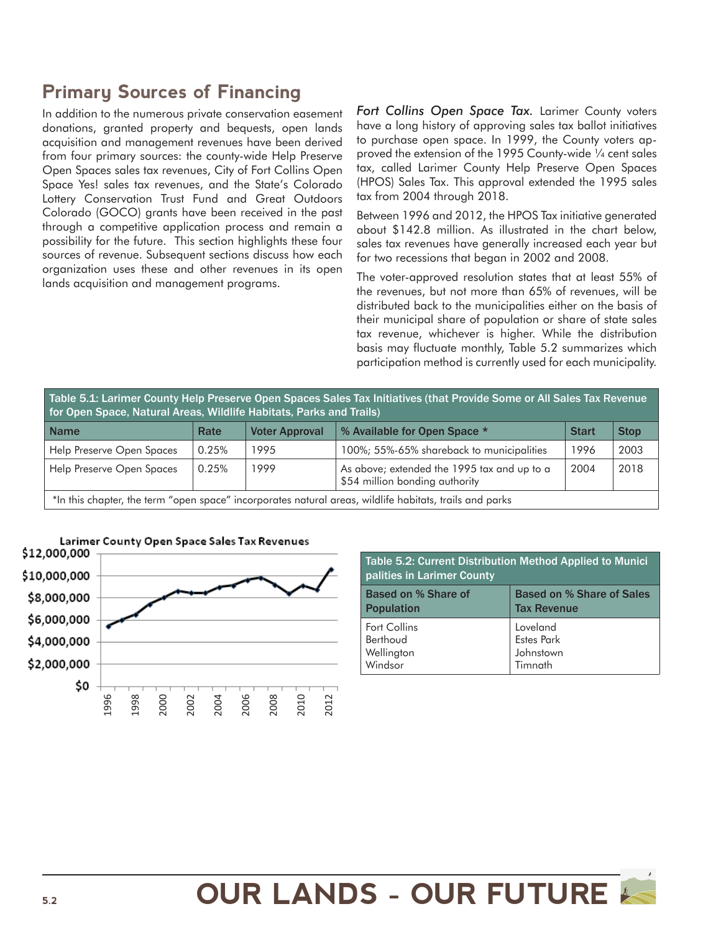## **Primary Sources of Financing**

In addition to the numerous private conservation easement donations, granted property and bequests, open lands acquisition and management revenues have been derived from four primary sources: the county-wide Help Preserve Open Spaces sales tax revenues, City of Fort Collins Open Space Yes! sales tax revenues, and the State's Colorado Lottery Conservation Trust Fund and Great Outdoors Colorado (GOCO) grants have been received in the past through a competitive application process and remain a possibility for the future. This section highlights these four sources of revenue. Subsequent sections discuss how each organization uses these and other revenues in its open lands acquisition and management programs.

Fort Collins Open Space Tax. Larimer County voters have a long history of approving sales tax ballot initiatives to purchase open space. In 1999, the County voters approved the extension of the 1995 County-wide ¼ cent sales tax, called Larimer County Help Preserve Open Spaces (HPOS) Sales Tax. This approval extended the 1995 sales tax from 2004 through 2018.

Between 1996 and 2012, the HPOS Tax initiative generated about \$142.8 million. As illustrated in the chart below, sales tax revenues have generally increased each year but for two recessions that began in 2002 and 2008.

The voter-approved resolution states that at least 55% of the revenues, but not more than 65% of revenues, will be distributed back to the municipalities either on the basis of their municipal share of population or share of state sales tax revenue, whichever is higher. While the distribution basis may fluctuate monthly, Table 5.2 summarizes which participation method is currently used for each municipality.

| Table 5.1: Larimer County Help Preserve Open Spaces Sales Tax Initiatives (that Provide Some or All Sales Tax Revenue<br>for Open Space, Natural Areas, Wildlife Habitats, Parks and Trails) |       |                       |                                                                               |              |             |
|----------------------------------------------------------------------------------------------------------------------------------------------------------------------------------------------|-------|-----------------------|-------------------------------------------------------------------------------|--------------|-------------|
| <b>Name</b>                                                                                                                                                                                  | Rate  | <b>Voter Approval</b> | % Available for Open Space *                                                  | <b>Start</b> | <b>Stop</b> |
| Help Preserve Open Spaces                                                                                                                                                                    | 0.25% | 1995                  | 100%; 55%-65% shareback to municipalities                                     | 1996         | 2003        |
| Help Preserve Open Spaces                                                                                                                                                                    | 0.25% | 1999                  | As above; extended the 1995 tax and up to a<br>\$54 million bonding authority | 2004         | 2018        |
| $*ln$ this chapter the term "enen space" incorporates natural gross, wildlife babitate trails and parks                                                                                      |       |                       |                                                                               |              |             |

In this chapter, the term "open space" incorporates natural areas, wildlite habitats, trails and parks



| Table 5.2: Current Distribution Method Applied to Munici<br>palities in Larimer County |                                  |  |
|----------------------------------------------------------------------------------------|----------------------------------|--|
| <b>Based on % Share of</b>                                                             | <b>Based on % Share of Sales</b> |  |
| <b>Population</b>                                                                      | <b>Tax Revenue</b>               |  |
| Fort Collins                                                                           | Loveland                         |  |
| Berthoud                                                                               | <b>Estes Park</b>                |  |
| Wellington                                                                             | Johnstown                        |  |
| Windsor                                                                                | Timnath                          |  |

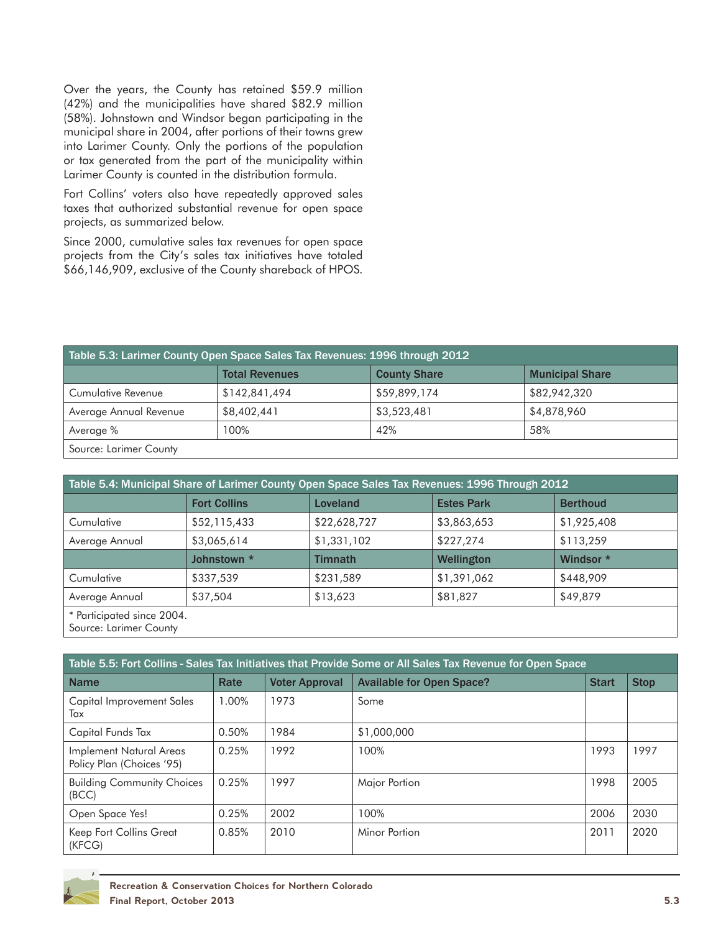Over the years, the County has retained \$59.9 million (42%) and the municipalities have shared \$82.9 million (58%). Johnstown and Windsor began participating in the municipal share in 2004, after portions of their towns grew into Larimer County. Only the portions of the population or tax generated from the part of the municipality within Larimer County is counted in the distribution formula.

Fort Collins' voters also have repeatedly approved sales taxes that authorized substantial revenue for open space projects, as summarized below.

Since 2000, cumulative sales tax revenues for open space projects from the City's sales tax initiatives have totaled \$66,146,909, exclusive of the County shareback of HPOS.

| Table 5.3: Larimer County Open Space Sales Tax Revenues: 1996 through 2012 |                       |                     |                        |
|----------------------------------------------------------------------------|-----------------------|---------------------|------------------------|
|                                                                            | <b>Total Revenues</b> | <b>County Share</b> | <b>Municipal Share</b> |
| Cumulative Revenue                                                         | \$142,841,494         | \$59,899,174        | \$82,942,320           |
| Average Annual Revenue                                                     | \$8,402,441           | \$3,523,481         | \$4,878,960            |
| Average %                                                                  | 100%                  | 42%                 | 58%                    |
| Source: Larimer County                                                     |                       |                     |                        |

| Table 5.4: Municipal Share of Larimer County Open Space Sales Tax Revenues: 1996 Through 2012 |                     |                 |                   |                 |
|-----------------------------------------------------------------------------------------------|---------------------|-----------------|-------------------|-----------------|
|                                                                                               | <b>Fort Collins</b> | <b>Loveland</b> | <b>Estes Park</b> | <b>Berthoud</b> |
| Cumulative                                                                                    | \$52,115,433        | \$22,628,727    | \$3,863,653       | \$1,925,408     |
| Average Annual                                                                                | \$3,065,614         | \$1,331,102     | \$227,274         | \$113,259       |
|                                                                                               | Johnstown *         | <b>Timnath</b>  | Wellington        | Windsor *       |
| Cumulative                                                                                    | \$337,539           | \$231,589       | \$1,391,062       | \$448,909       |
| Average Annual                                                                                | \$37,504            | \$13,623        | \$81,827          | \$49,879        |
| $*$ Dentiste also distinguished $0.004$                                                       |                     |                 |                   |                 |

Participated since 2004. Source: Larimer County

Table 5.5: Fort Collins - Sales Tax Initiatives that Provide Some or All Sales Tax Revenue for Open Space Name Rate Voter Approval Available for Open Space? Start Stop Start Stop Capital Improvement Sales Tax 1.00% 1973 Some Capital Funds Tax 0.50% 1984 \$1,000,000 Implement Natural Areas Policy Plan (Choices '95) 0.25% 1992 100% 1993 1997 Building Community Choices (BCC) 0.25% 1997 Major Portion 1998 2005 Open Space Yes! 0.25% 2002 100% 2006 2030 Keep Fort Collins Great (KFCG) 0.85% 2010 Minor Portion 2011 2020

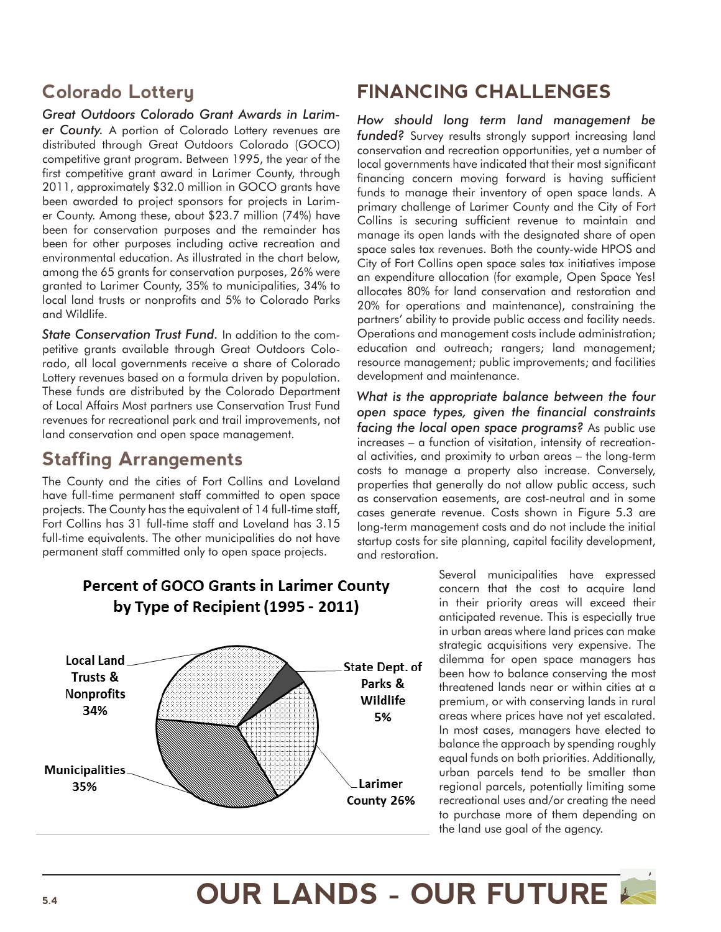### **Colorado Lottery**

*Great Outdoors Colorado Grant Awards in Larimer County.* A portion of Colorado Lottery revenues are distributed through Great Outdoors Colorado (GOCO) competitive grant program. Between 1995, the year of the first competitive grant award in Larimer County, through 2011, approximately \$32.0 million in GOCO grants have been awarded to project sponsors for projects in Larimer County. Among these, about \$23.7 million (74%) have been for conservation purposes and the remainder has been for other purposes including active recreation and environmental education. As illustrated in the chart below, among the 65 grants for conservation purposes, 26% were granted to Larimer County, 35% to municipalities, 34% to local land trusts or nonprofits and 5% to Colorado Parks and Wildlife.

**State Conservation Trust Fund.** In addition to the competitive grants available through Great Outdoors Colorado, all local governments receive a share of Colorado Lottery revenues based on a formula driven by population. These funds are distributed by the Colorado Department of Local Affairs Most partners use Conservation Trust Fund revenues for recreational park and trail improvements, not land conservation and open space management.

# **Staffing Arrangements**

Local Land Trusts & **Nonprofits** 34%

Municipalities 35%

The County and the cities of Fort Collins and Loveland have full-time permanent staff committed to open space projects. The County has the equivalent of 14 full-time staff, Fort Collins has 31 full-time staff and Loveland has 3.15 full-time equivalents. The other municipalities do not have permanent staff committed only to open space projects.

# **FINANCING CHALLENGES**

*How should long term land management be funded?* Survey results strongly support increasing land conservation and recreation opportunities, yet a number of local governments have indicated that their most significant financing concern moving forward is having sufficient funds to manage their inventory of open space lands. A primary challenge of Larimer County and the City of Fort Collins is securing sufficient revenue to maintain and manage its open lands with the designated share of open space sales tax revenues. Both the county-wide HPOS and City of Fort Collins open space sales tax initiatives impose an expenditure allocation (for example, Open Space Yes! allocates 80% for land conservation and restoration and 20% for operations and maintenance), constraining the partners' ability to provide public access and facility needs. Operations and management costs include administration; education and outreach; rangers; land management; resource management; public improvements; and facilities development and maintenance.

*What is the appropriate balance between the four open space types, given the financial constraints facing the local open space programs?* As public use increases – a function of visitation, intensity of recreational activities, and proximity to urban areas – the long-term costs to manage a property also increase. Conversely, properties that generally do not allow public access, such as conservation easements, are cost-neutral and in some cases generate revenue. Costs shown in Figure 5.3 are long-term management costs and do not include the initial startup costs for site planning, capital facility development, and restoration.

> Several municipalities have expressed concern that the cost to acquire land in their priority areas will exceed their anticipated revenue. This is especially true in urban areas where land prices can make strategic acquisitions very expensive. The dilemma for open space managers has been how to balance conserving the most threatened lands near or within cities at a premium, or with conserving lands in rural areas where prices have not yet escalated. In most cases, managers have elected to balance the approach by spending roughly equal funds on both priorities. Additionally, urban parcels tend to be smaller than regional parcels, potentially limiting some recreational uses and/or creating the need to purchase more of them depending on the land use goal of the agency.

# Percent of GOCO Grants in Larimer County by Type of Recipient {1995 - 2011)

State Dept. of Parks & Wildlife 5%

Larimer County 26%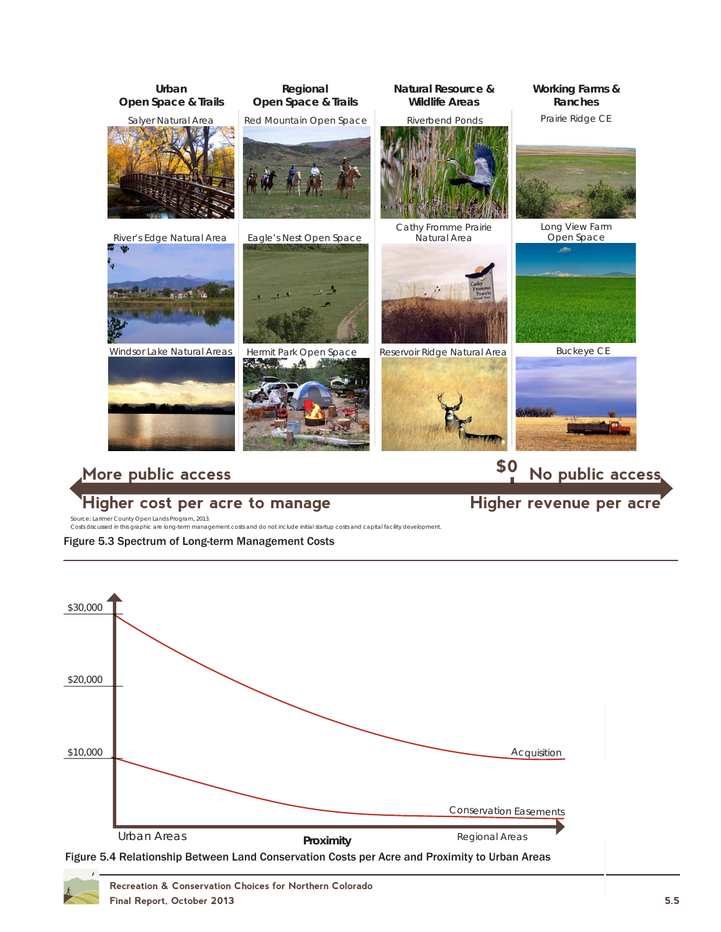

### **More public access**

### **Higher cost per acre to manage**

*Source: Larimer County Open Lands Program, 2013. Costs discussed in this graphic are long-term management costs and do not include initial startup costs and capital facility development.*



#### Figure 5.3 Spectrum of Long-term Management Costs



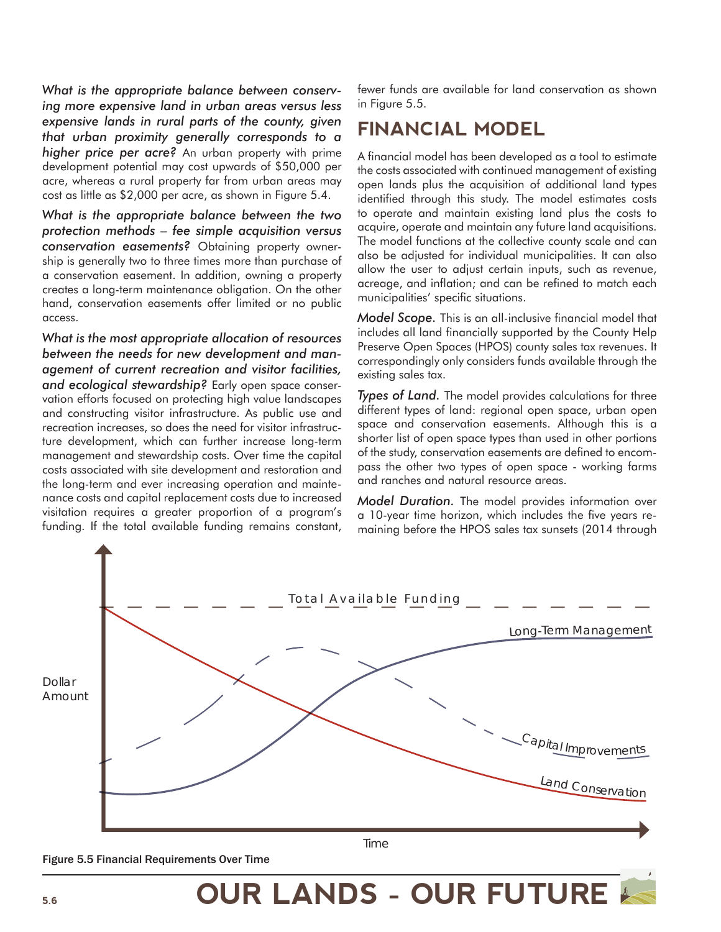*What is the appropriate balance between conserving more expensive land in urban areas versus less expensive lands in rural parts of the county, given that urban proximity generally corresponds to a higher price per acre?* An urban property with prime development potential may cost upwards of \$50,000 per acre, whereas a rural property far from urban areas may cost as little as \$2,000 per acre, as shown in Figure 5.4.

*What is the appropriate balance between the two protection methods – fee simple acquisition versus conservation easements?* Obtaining property ownership is generally two to three times more than purchase of a conservation easement. In addition, owning a property creates a long-term maintenance obligation. On the other hand, conservation easements offer limited or no public access.

*What is the most appropriate allocation of resources between the needs for new development and management of current recreation and visitor facilities, and ecological stewardship?* Early open space conservation efforts focused on protecting high value landscapes and constructing visitor infrastructure. As public use and recreation increases, so does the need for visitor infrastructure development, which can further increase long-term management and stewardship costs. Over time the capital costs associated with site development and restoration and the long-term and ever increasing operation and maintenance costs and capital replacement costs due to increased visitation requires a greater proportion of a program's funding. If the total available funding remains constant, fewer funds are available for land conservation as shown in Figure 5.5.

### **FINANCIAL MODEL**

A financial model has been developed as a tool to estimate the costs associated with continued management of existing open lands plus the acquisition of additional land types identified through this study. The model estimates costs to operate and maintain existing land plus the costs to acquire, operate and maintain any future land acquisitions. The model functions at the collective county scale and can also be adjusted for individual municipalities. It can also allow the user to adjust certain inputs, such as revenue, acreage, and inflation; and can be refined to match each municipalities' specific situations.

*Model Scope.* This is an all-inclusive financial model that includes all land financially supported by the County Help Preserve Open Spaces (HPOS) county sales tax revenues. It correspondingly only considers funds available through the existing sales tax.

*Types of Land.* The model provides calculations for three different types of land: regional open space, urban open space and conservation easements. Although this is a shorter list of open space types than used in other portions of the study, conservation easements are defined to encompass the other two types of open space - working farms and ranches and natural resource areas.

*Model Duration.* The model provides information over a 10-year time horizon, which includes the five years remaining before the HPOS sales tax sunsets (2014 through



Figure 5.5 Financial Requirements Over Time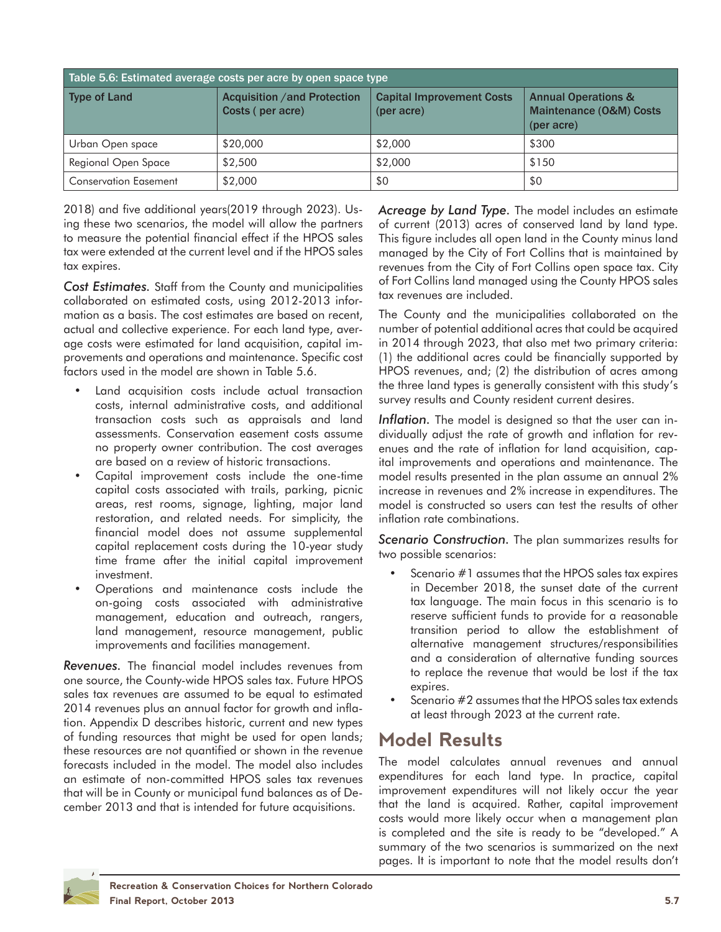| Table 5.6: Estimated average costs per acre by open space type |                                                                                                          |         |                                                                         |  |
|----------------------------------------------------------------|----------------------------------------------------------------------------------------------------------|---------|-------------------------------------------------------------------------|--|
| Type of Land                                                   | <b>Acquisition /and Protection</b><br><b>Capital Improvement Costs</b><br>Costs (per acre)<br>(per acre) |         | <b>Annual Operations &amp;</b><br>Maintenance (O&M) Costs<br>(per acre) |  |
| Urban Open space                                               | \$20,000                                                                                                 | \$2,000 | \$300                                                                   |  |
| Regional Open Space                                            | \$2,500                                                                                                  | \$2,000 | \$150                                                                   |  |
| <b>Conservation Easement</b>                                   | \$2,000                                                                                                  | \$0     | \$0                                                                     |  |

2018) and five additional years(2019 through 2023). Using these two scenarios, the model will allow the partners to measure the potential financial effect if the HPOS sales tax were extended at the current level and if the HPOS sales tax expires.

*Cost Estimates.* Staff from the County and municipalities collaborated on estimated costs, using 2012-2013 information as a basis. The cost estimates are based on recent, actual and collective experience. For each land type, average costs were estimated for land acquisition, capital improvements and operations and maintenance. Specific cost factors used in the model are shown in Table 5.6.

- Land acquisition costs include actual transaction costs, internal administrative costs, and additional transaction costs such as appraisals and land assessments. Conservation easement costs assume no property owner contribution. The cost averages are based on a review of historic transactions.
- Capital improvement costs include the one-time capital costs associated with trails, parking, picnic areas, rest rooms, signage, lighting, major land restoration, and related needs. For simplicity, the financial model does not assume supplemental capital replacement costs during the 10-year study time frame after the initial capital improvement investment.
- Operations and maintenance costs include the on-going costs associated with administrative management, education and outreach, rangers, land management, resource management, public improvements and facilities management.

*Revenues.* The financial model includes revenues from one source, the County-wide HPOS sales tax. Future HPOS sales tax revenues are assumed to be equal to estimated 2014 revenues plus an annual factor for growth and inflation. Appendix D describes historic, current and new types of funding resources that might be used for open lands; these resources are not quantified or shown in the revenue forecasts included in the model. The model also includes an estimate of non-committed HPOS sales tax revenues that will be in County or municipal fund balances as of December 2013 and that is intended for future acquisitions.

*Acreage by Land Type.* The model includes an estimate of current (2013) acres of conserved land by land type. This figure includes all open land in the County minus land managed by the City of Fort Collins that is maintained by revenues from the City of Fort Collins open space tax. City of Fort Collins land managed using the County HPOS sales tax revenues are included.

The County and the municipalities collaborated on the number of potential additional acres that could be acquired in 2014 through 2023, that also met two primary criteria: (1) the additional acres could be financially supported by HPOS revenues, and; (2) the distribution of acres among the three land types is generally consistent with this study's survey results and County resident current desires.

*Inflation.* The model is designed so that the user can individually adjust the rate of growth and inflation for revenues and the rate of inflation for land acquisition, capital improvements and operations and maintenance. The model results presented in the plan assume an annual 2% increase in revenues and 2% increase in expenditures. The model is constructed so users can test the results of other inflation rate combinations.

*Scenario Construction.* The plan summarizes results for two possible scenarios:

- Scenario  $#1$  assumes that the HPOS sales tax expires in December 2018, the sunset date of the current tax language. The main focus in this scenario is to reserve sufficient funds to provide for a reasonable transition period to allow the establishment of alternative management structures/responsibilities and a consideration of alternative funding sources to replace the revenue that would be lost if the tax expires.
- Scenario  $#2$  assumes that the HPOS sales tax extends at least through 2023 at the current rate.

### **Model Results**

The model calculates annual revenues and annual expenditures for each land type. In practice, capital improvement expenditures will not likely occur the year that the land is acquired. Rather, capital improvement costs would more likely occur when a management plan is completed and the site is ready to be "developed." A summary of the two scenarios is summarized on the next pages. It is important to note that the model results don't

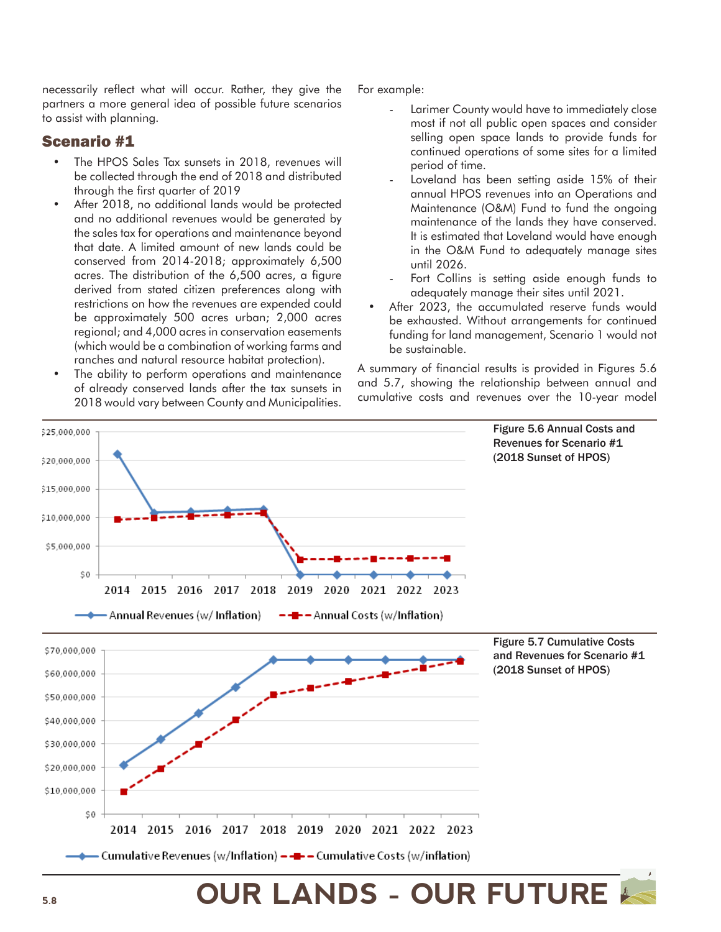necessarily reflect what will occur. Rather, they give the partners a more general idea of possible future scenarios to assist with planning.

#### Scenario #1

- The HPOS Sales Tax sunsets in 2018, revenues will be collected through the end of 2018 and distributed through the first quarter of 2019
- After 2018, no additional lands would be protected and no additional revenues would be generated by the sales tax for operations and maintenance beyond that date. A limited amount of new lands could be conserved from 2014-2018; approximately 6,500 acres. The distribution of the 6,500 acres, a figure derived from stated citizen preferences along with restrictions on how the revenues are expended could be approximately 500 acres urban; 2,000 acres regional; and 4,000 acres in conservation easements (which would be a combination of working farms and ranches and natural resource habitat protection).
- The ability to perform operations and maintenance of already conserved lands after the tax sunsets in 2018 would vary between County and Municipalities.

For example:

- Larimer County would have to immediately close most if not all public open spaces and consider selling open space lands to provide funds for continued operations of some sites for a limited period of time.
- Loveland has been setting aside 15% of their annual HPOS revenues into an Operations and Maintenance (O&M) Fund to fund the ongoing maintenance of the lands they have conserved. It is estimated that Loveland would have enough in the O&M Fund to adequately manage sites until 2026.
- Fort Collins is setting aside enough funds to adequately manage their sites until 2021.
- After 2023, the accumulated reserve funds would be exhausted. Without arrangements for continued funding for land management, Scenario 1 would not be sustainable.

A summary of financial results is provided in Figures 5.6 and 5.7, showing the relationship between annual and cumulative costs and revenues over the 10-year model

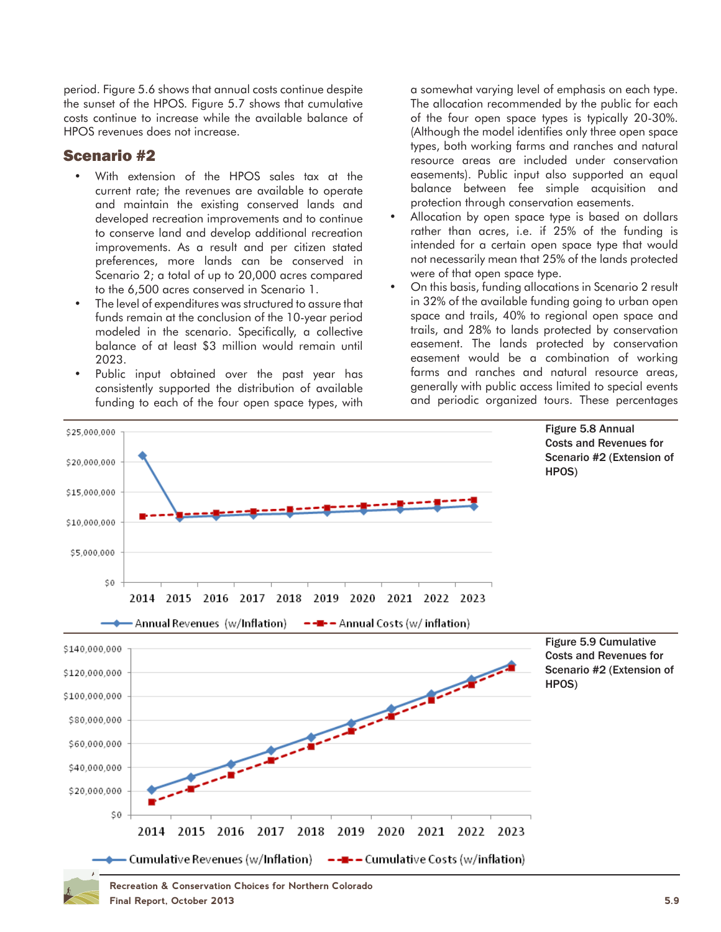period. Figure 5.6 shows that annual costs continue despite the sunset of the HPOS. Figure 5.7 shows that cumulative costs continue to increase while the available balance of HPOS revenues does not increase.

#### Scenario #2

- With extension of the HPOS sales tax at the current rate; the revenues are available to operate and maintain the existing conserved lands and developed recreation improvements and to continue to conserve land and develop additional recreation improvements. As a result and per citizen stated preferences, more lands can be conserved in Scenario 2; a total of up to 20,000 acres compared to the 6,500 acres conserved in Scenario 1.
- The level of expenditures was structured to assure that funds remain at the conclusion of the 10-year period modeled in the scenario. Specifically, a collective balance of at least \$3 million would remain until 2023.
- Public input obtained over the past year has consistently supported the distribution of available funding to each of the four open space types, with

a somewhat varying level of emphasis on each type. The allocation recommended by the public for each of the four open space types is typically 20-30%. (Although the model identifies only three open space types, both working farms and ranches and natural resource areas are included under conservation easements). Public input also supported an equal balance between fee simple acquisition and protection through conservation easements.

- Allocation by open space type is based on dollars rather than acres, i.e. if 25% of the funding is intended for a certain open space type that would not necessarily mean that 25% of the lands protected were of that open space type.
- On this basis, funding allocations in Scenario 2 result in 32% of the available funding going to urban open space and trails, 40% to regional open space and trails, and 28% to lands protected by conservation easement. The lands protected by conservation easement would be a combination of working farms and ranches and natural resource areas, generally with public access limited to special events and periodic organized tours. These percentages



**Final Report, October 2013 5.9**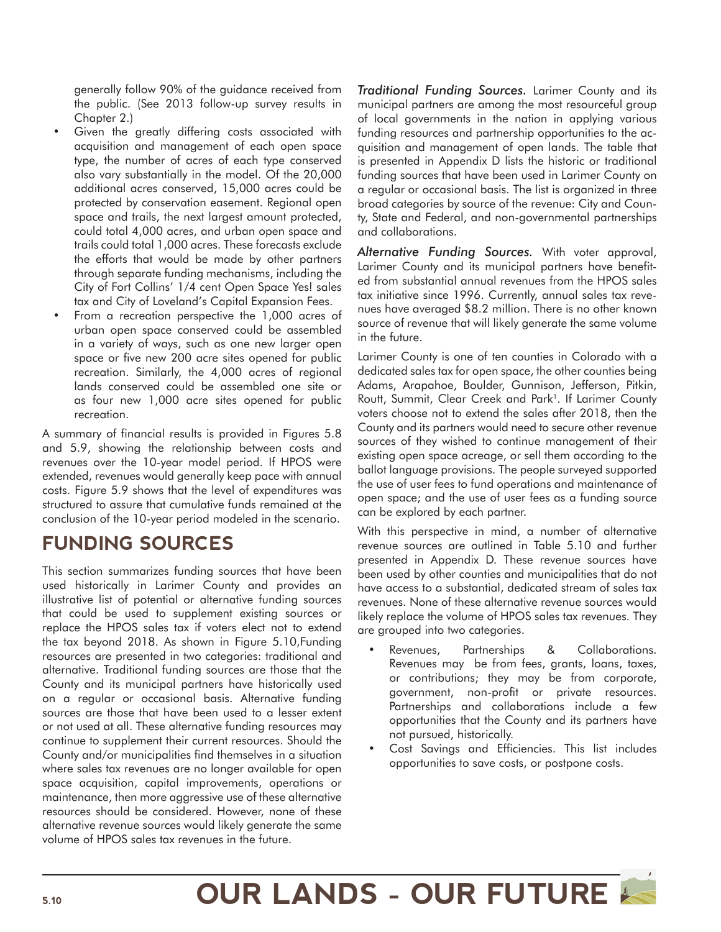generally follow 90% of the guidance received from the public. (See 2013 follow-up survey results in Chapter 2.)

- • Given the greatly differing costs associated with acquisition and management of each open space type, the number of acres of each type conserved also vary substantially in the model. Of the 20,000 additional acres conserved, 15,000 acres could be protected by conservation easement. Regional open space and trails, the next largest amount protected, could total 4,000 acres, and urban open space and trails could total 1,000 acres. These forecasts exclude the efforts that would be made by other partners through separate funding mechanisms, including the City of Fort Collins' 1/4 cent Open Space Yes! sales tax and City of Loveland's Capital Expansion Fees.
- From a recreation perspective the 1,000 acres of urban open space conserved could be assembled in a variety of ways, such as one new larger open space or five new 200 acre sites opened for public recreation. Similarly, the 4,000 acres of regional lands conserved could be assembled one site or as four new 1,000 acre sites opened for public recreation.

A summary of financial results is provided in Figures 5.8 and 5.9, showing the relationship between costs and revenues over the 10-year model period. If HPOS were extended, revenues would generally keep pace with annual costs. Figure 5.9 shows that the level of expenditures was structured to assure that cumulative funds remained at the conclusion of the 10-year period modeled in the scenario.

# **FUNDING SOURCES**

This section summarizes funding sources that have been used historically in Larimer County and provides an illustrative list of potential or alternative funding sources that could be used to supplement existing sources or replace the HPOS sales tax if voters elect not to extend the tax beyond 2018. As shown in Figure 5.10,Funding resources are presented in two categories: traditional and alternative. Traditional funding sources are those that the County and its municipal partners have historically used on a regular or occasional basis. Alternative funding sources are those that have been used to a lesser extent or not used at all. These alternative funding resources may continue to supplement their current resources. Should the County and/or municipalities find themselves in a situation where sales tax revenues are no longer available for open space acquisition, capital improvements, operations or maintenance, then more aggressive use of these alternative resources should be considered. However, none of these alternative revenue sources would likely generate the same volume of HPOS sales tax revenues in the future.

*Traditional Funding Sources.* Larimer County and its municipal partners are among the most resourceful group of local governments in the nation in applying various funding resources and partnership opportunities to the acquisition and management of open lands. The table that is presented in Appendix D lists the historic or traditional funding sources that have been used in Larimer County on a regular or occasional basis. The list is organized in three broad categories by source of the revenue: City and County, State and Federal, and non-governmental partnerships and collaborations.

*Alternative Funding Sources.* With voter approval, Larimer County and its municipal partners have benefited from substantial annual revenues from the HPOS sales tax initiative since 1996. Currently, annual sales tax revenues have averaged \$8.2 million. There is no other known source of revenue that will likely generate the same volume in the future.

Larimer County is one of ten counties in Colorado with a dedicated sales tax for open space, the other counties being Adams, Arapahoe, Boulder, Gunnison, Jefferson, Pitkin, Routt, Summit, Clear Creek and Park<sup>1</sup>. If Larimer County voters choose not to extend the sales after 2018, then the County and its partners would need to secure other revenue sources of they wished to continue management of their existing open space acreage, or sell them according to the ballot language provisions. The people surveyed supported the use of user fees to fund operations and maintenance of open space; and the use of user fees as a funding source can be explored by each partner.

With this perspective in mind, a number of alternative revenue sources are outlined in Table 5.10 and further presented in Appendix D. These revenue sources have been used by other counties and municipalities that do not have access to a substantial, dedicated stream of sales tax revenues. None of these alternative revenue sources would likely replace the volume of HPOS sales tax revenues. They are grouped into two categories.

- Revenues, Partnerships & Collaborations. Revenues may be from fees, grants, loans, taxes, or contributions; they may be from corporate, government, non-profit or private resources. Partnerships and collaborations include a few opportunities that the County and its partners have not pursued, historically.
- Cost Savings and Efficiencies. This list includes opportunities to save costs, or postpone costs.

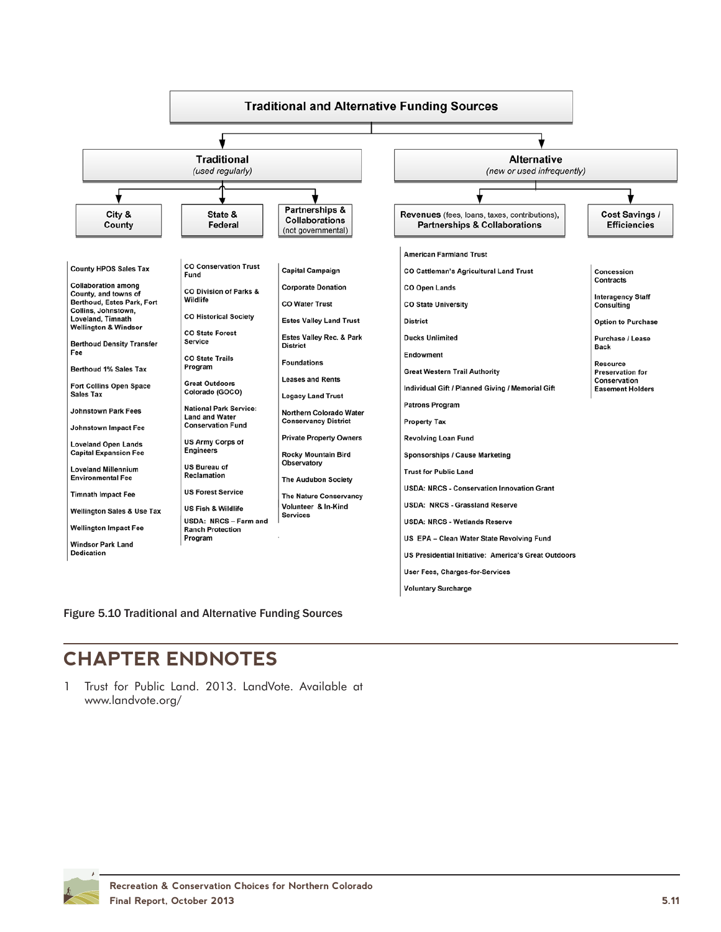

Figure 5.10 Traditional and Alternative Funding Sources

# **CHAPTER ENDNOTES**

1 Trust for Public Land. 2013. LandVote. Available at [www.landvote.org/](http://www.landvote.org/ )